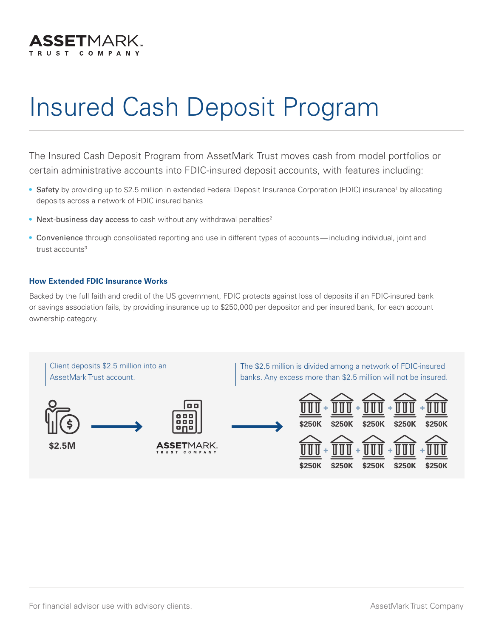

# Insured Cash Deposit Program

The Insured Cash Deposit Program from AssetMark Trust moves cash from model portfolios or certain administrative accounts into FDIC-insured deposit accounts, with features including:

- Safety by providing up to \$2.5 million in extended Federal Deposit Insurance Corporation (FDIC) insurance<sup>1</sup> by allocating deposits across a network of FDIC insured banks
- Next-business day access to cash without any withdrawal penalties<sup>2</sup>
- Convenience through consolidated reporting and use in different types of accounts— including individual, joint and trust accounts<sup>3</sup>

### **How Extended FDIC Insurance Works**

Backed by the full faith and credit of the US government, FDIC protects against loss of deposits if an FDIC-insured bank or savings association fails, by providing insurance up to \$250,000 per depositor and per insured bank, for each account ownership category.